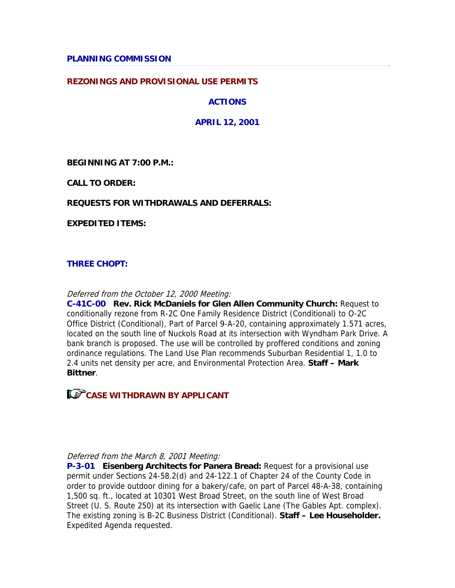#### **REZONINGS AND PROVISIONAL USE PERMITS**

**ACTIONS** 

**APRIL 12, 2001** 

**BEGINNING AT 7:00 P.M.:**

**CALL TO ORDER:**

#### **REQUESTS FOR WITHDRAWALS AND DEFERRALS:**

**EXPEDITED ITEMS:**

#### **THREE CHOPT:**

#### Deferred from the October 12, 2000 Meeting:

**C-41C-00 Rev. Rick McDaniels for Glen Allen Community Church:** Request to conditionally rezone from R-2C One Family Residence District (Conditional) to O-2C Office District (Conditional), Part of Parcel 9-A-20, containing approximately 1.571 acres, located on the south line of Nuckols Road at its intersection with Wyndham Park Drive. A bank branch is proposed. The use will be controlled by proffered conditions and zoning ordinance regulations. The Land Use Plan recommends Suburban Residential 1, 1.0 to 2.4 units net density per acre, and Environmental Protection Area. **Staff – Mark Bittner**.

**CASE WITHDRAWN BY APPLICANT** 

#### Deferred from the March 8, 2001 Meeting:

**P-3-01 Eisenberg Architects for Panera Bread:** Request for a provisional use permit under Sections 24-58.2(d) and 24-122.1 of Chapter 24 of the County Code in order to provide outdoor dining for a bakery/cafe, on part of Parcel 48-A-38, containing 1,500 sq. ft., located at 10301 West Broad Street, on the south line of West Broad Street (U. S. Route 250) at its intersection with Gaelic Lane (The Gables Apt. complex). The existing zoning is B-2C Business District (Conditional). **Staff – Lee Householder.** Expedited Agenda requested.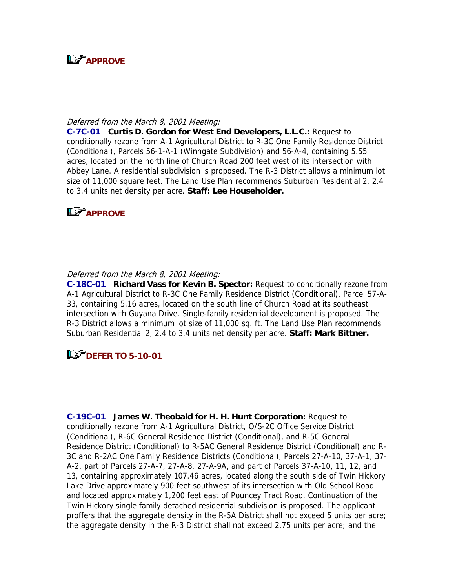

#### Deferred from the March 8, 2001 Meeting:

**C-7C-01 Curtis D. Gordon for West End Developers, L.L.C.:** Request to conditionally rezone from A-1 Agricultural District to R-3C One Family Residence District (Conditional), Parcels 56-1-A-1 (Winngate Subdivision) and 56-A-4, containing 5.55 acres, located on the north line of Church Road 200 feet west of its intersection with Abbey Lane. A residential subdivision is proposed. The R-3 District allows a minimum lot size of 11,000 square feet. The Land Use Plan recommends Suburban Residential 2, 2.4 to 3.4 units net density per acre. **Staff: Lee Householder.** 



#### Deferred from the March 8, 2001 Meeting:

**C-18C-01 Richard Vass for Kevin B. Spector:** Request to conditionally rezone from A-1 Agricultural District to R-3C One Family Residence District (Conditional), Parcel 57-A-33, containing 5.16 acres, located on the south line of Church Road at its southeast intersection with Guyana Drive. Single-family residential development is proposed. The R-3 District allows a minimum lot size of 11,000 sq. ft. The Land Use Plan recommends Suburban Residential 2, 2.4 to 3.4 units net density per acre. **Staff: Mark Bittner.** 

## **DEFER TO 5-10-01**

**C-19C-01 James W. Theobald for H. H. Hunt Corporation:** Request to conditionally rezone from A-1 Agricultural District, O/S-2C Office Service District (Conditional), R-6C General Residence District (Conditional), and R-5C General Residence District (Conditional) to R-5AC General Residence District (Conditional) and R-3C and R-2AC One Family Residence Districts (Conditional), Parcels 27-A-10, 37-A-1, 37- A-2, part of Parcels 27-A-7, 27-A-8, 27-A-9A, and part of Parcels 37-A-10, 11, 12, and 13, containing approximately 107.46 acres, located along the south side of Twin Hickory Lake Drive approximately 900 feet southwest of its intersection with Old School Road and located approximately 1,200 feet east of Pouncey Tract Road. Continuation of the Twin Hickory single family detached residential subdivision is proposed. The applicant proffers that the aggregate density in the R-5A District shall not exceed 5 units per acre; the aggregate density in the R-3 District shall not exceed 2.75 units per acre; and the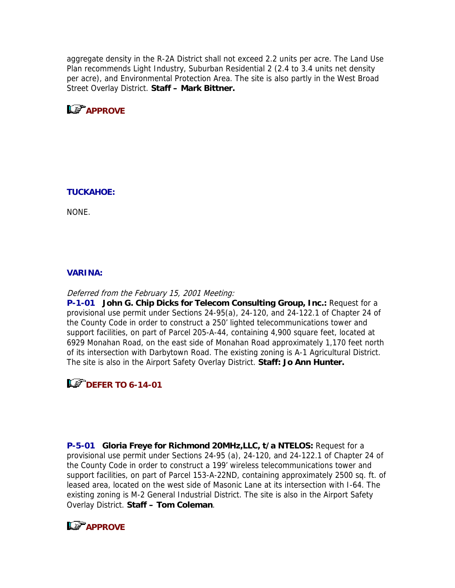aggregate density in the R-2A District shall not exceed 2.2 units per acre. The Land Use Plan recommends Light Industry, Suburban Residential 2 (2.4 to 3.4 units net density per acre), and Environmental Protection Area. The site is also partly in the West Broad Street Overlay District. **Staff – Mark Bittner.**

**LS** APPROVE

#### **TUCKAHOE:**

NONE.

#### **VARINA:**

#### Deferred from the February 15, 2001 Meeting:

**P-1-01 John G. Chip Dicks for Telecom Consulting Group, Inc.:** Request for a provisional use permit under Sections 24-95(a), 24-120, and 24-122.1 of Chapter 24 of the County Code in order to construct a 250' lighted telecommunications tower and support facilities, on part of Parcel 205-A-44, containing 4,900 square feet, located at 6929 Monahan Road, on the east side of Monahan Road approximately 1,170 feet north of its intersection with Darbytown Road. The existing zoning is A-1 Agricultural District. The site is also in the Airport Safety Overlay District. **Staff: Jo Ann Hunter.**

## **DEFER TO 6-14-01**

**P-5-01 Gloria Freye for Richmond 20MHz,LLC, t/a NTELOS:** Request for a provisional use permit under Sections 24-95 (a), 24-120, and 24-122.1 of Chapter 24 of the County Code in order to construct a 199' wireless telecommunications tower and support facilities, on part of Parcel 153-A-22ND, containing approximately 2500 sq. ft. of leased area, located on the west side of Masonic Lane at its intersection with I-64. The existing zoning is M-2 General Industrial District. The site is also in the Airport Safety Overlay District. **Staff – Tom Coleman**.

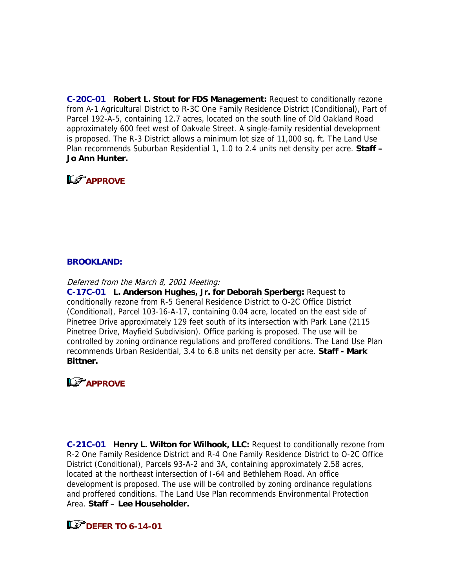**C-20C-01 Robert L. Stout for FDS Management:** Request to conditionally rezone from A-1 Agricultural District to R-3C One Family Residence District (Conditional), Part of Parcel 192-A-5, containing 12.7 acres, located on the south line of Old Oakland Road approximately 600 feet west of Oakvale Street. A single-family residential development is proposed. The R-3 District allows a minimum lot size of 11,000 sq. ft. The Land Use Plan recommends Suburban Residential 1, 1.0 to 2.4 units net density per acre. **Staff – Jo Ann Hunter.** 

# **LS** APPROVE

#### **BROOKLAND:**

Deferred from the March 8, 2001 Meeting:

**C-17C-01 L. Anderson Hughes, Jr. for Deborah Sperberg:** Request to conditionally rezone from R-5 General Residence District to O-2C Office District (Conditional), Parcel 103-16-A-17, containing 0.04 acre, located on the east side of Pinetree Drive approximately 129 feet south of its intersection with Park Lane (2115 Pinetree Drive, Mayfield Subdivision). Office parking is proposed. The use will be controlled by zoning ordinance regulations and proffered conditions. The Land Use Plan recommends Urban Residential, 3.4 to 6.8 units net density per acre. **Staff - Mark Bittner.** 

# **LS** APPROVE

**C-21C-01 Henry L. Wilton for Wilhook, LLC:** Request to conditionally rezone from R-2 One Family Residence District and R-4 One Family Residence District to O-2C Office District (Conditional), Parcels 93-A-2 and 3A, containing approximately 2.58 acres, located at the northeast intersection of I-64 and Bethlehem Road. An office development is proposed. The use will be controlled by zoning ordinance regulations and proffered conditions. The Land Use Plan recommends Environmental Protection Area. **Staff – Lee Householder.** 

## **DEFER TO 6-14-01**